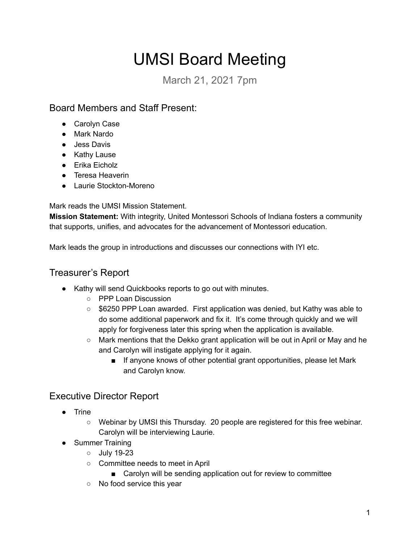# UMSI Board Meeting

March 21, 2021 7pm

Board Members and Staff Present:

- Carolyn Case
- Mark Nardo
- Jess Davis
- Kathy Lause
- Erika Eicholz
- Teresa Heaverin
- Laurie Stockton-Moreno

Mark reads the UMSI Mission Statement.

**Mission Statement:** With integrity, United Montessori Schools of Indiana fosters a community that supports, unifies, and advocates for the advancement of Montessori education.

Mark leads the group in introductions and discusses our connections with IYI etc.

## Treasurer's Report

- Kathy will send Quickbooks reports to go out with minutes.
	- PPP Loan Discussion
	- $\circ$  \$6250 PPP Loan awarded. First application was denied, but Kathy was able to do some additional paperwork and fix it. It's come through quickly and we will apply for forgiveness later this spring when the application is available.
	- $\circ$  Mark mentions that the Dekko grant application will be out in April or May and he and Carolyn will instigate applying for it again.
		- If anyone knows of other potential grant opportunities, please let Mark and Carolyn know.

## Executive Director Report

- Trine
	- Webinar by UMSI this Thursday. 20 people are registered for this free webinar. Carolyn will be interviewing Laurie.
- Summer Training
	- July 19-23
	- Committee needs to meet in April
		- Carolyn will be sending application out for review to committee
	- No food service this year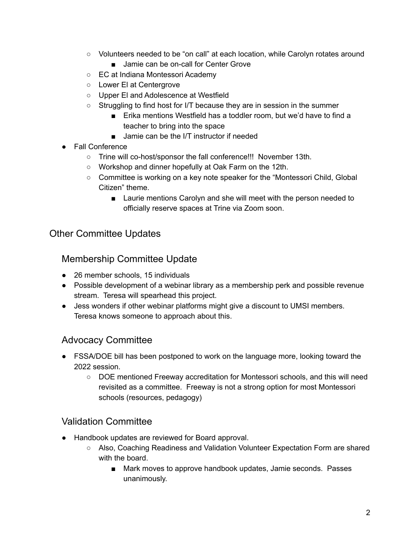- Volunteers needed to be "on call" at each location, while Carolyn rotates around
	- Jamie can be on-call for Center Grove
- EC at Indiana Montessori Academy
- Lower El at Centergrove
- Upper El and Adolescence at Westfield
- Struggling to find host for I/T because they are in session in the summer
	- Erika mentions Westfield has a toddler room, but we'd have to find a teacher to bring into the space
	- Jamie can be the I/T instructor if needed
- Fall Conference
	- Trine will co-host/sponsor the fall conference!!! November 13th.
	- Workshop and dinner hopefully at Oak Farm on the 12th.
	- Committee is working on a key note speaker for the "Montessori Child, Global Citizen" theme.
		- Laurie mentions Carolyn and she will meet with the person needed to officially reserve spaces at Trine via Zoom soon.

### Other Committee Updates

#### Membership Committee Update

- 26 member schools, 15 individuals
- Possible development of a webinar library as a membership perk and possible revenue stream. Teresa will spearhead this project.
- Jess wonders if other webinar platforms might give a discount to UMSI members. Teresa knows someone to approach about this.

### Advocacy Committee

- FSSA/DOE bill has been postponed to work on the language more, looking toward the 2022 session.
	- DOE mentioned Freeway accreditation for Montessori schools, and this will need revisited as a committee. Freeway is not a strong option for most Montessori schools (resources, pedagogy)

### Validation Committee

- Handbook updates are reviewed for Board approval.
	- Also, Coaching Readiness and Validation Volunteer Expectation Form are shared with the board.
		- Mark moves to approve handbook updates, Jamie seconds. Passes unanimously.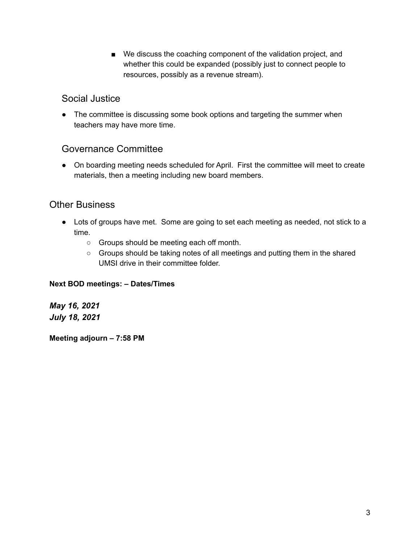■ We discuss the coaching component of the validation project, and whether this could be expanded (possibly just to connect people to resources, possibly as a revenue stream).

#### Social Justice

• The committee is discussing some book options and targeting the summer when teachers may have more time.

#### Governance Committee

● On boarding meeting needs scheduled for April. First the committee will meet to create materials, then a meeting including new board members.

### Other Business

- Lots of groups have met. Some are going to set each meeting as needed, not stick to a time.
	- Groups should be meeting each off month.
	- Groups should be taking notes of all meetings and putting them in the shared UMSI drive in their committee folder.

#### **Next BOD meetings: – Dates/Times**

*May 16, 2021 July 18, 2021*

**Meeting adjourn – 7:58 PM**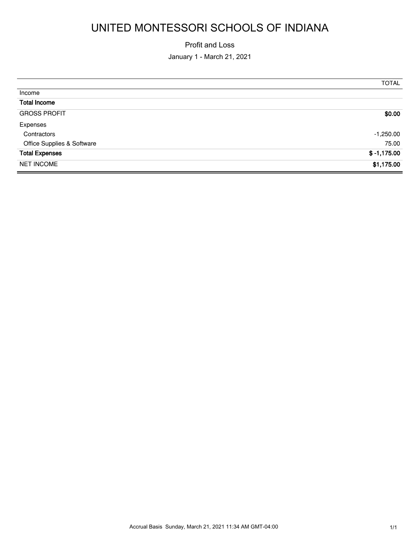# UNITED MONTESSORI SCHOOLS OF INDIANA

#### Profit and Loss

January 1 - March 21, 2021

|                            | <b>TOTAL</b>  |
|----------------------------|---------------|
| Income                     |               |
| <b>Total Income</b>        |               |
| <b>GROSS PROFIT</b>        | \$0.00        |
| Expenses                   |               |
| Contractors                | $-1,250.00$   |
| Office Supplies & Software | 75.00         |
| <b>Total Expenses</b>      | $$ -1,175.00$ |
| <b>NET INCOME</b>          | \$1,175.00    |